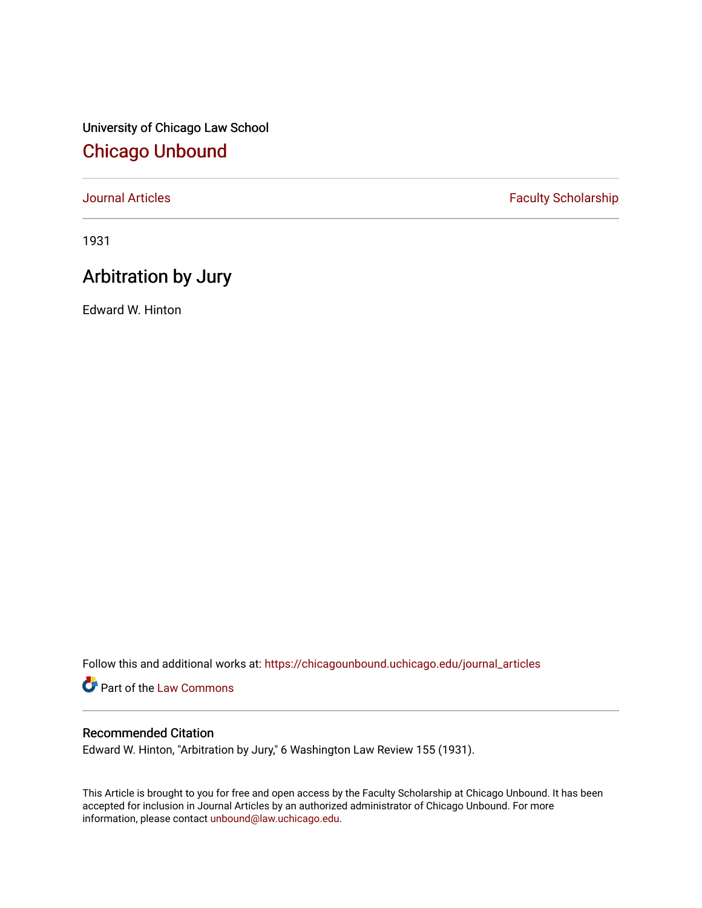University of Chicago Law School [Chicago Unbound](https://chicagounbound.uchicago.edu/)

[Journal Articles](https://chicagounbound.uchicago.edu/journal_articles) **Faculty Scholarship Faculty Scholarship** 

1931

## Arbitration by Jury

Edward W. Hinton

Follow this and additional works at: [https://chicagounbound.uchicago.edu/journal\\_articles](https://chicagounbound.uchicago.edu/journal_articles?utm_source=chicagounbound.uchicago.edu%2Fjournal_articles%2F8839&utm_medium=PDF&utm_campaign=PDFCoverPages) 

Part of the [Law Commons](http://network.bepress.com/hgg/discipline/578?utm_source=chicagounbound.uchicago.edu%2Fjournal_articles%2F8839&utm_medium=PDF&utm_campaign=PDFCoverPages)

## Recommended Citation

Edward W. Hinton, "Arbitration by Jury," 6 Washington Law Review 155 (1931).

This Article is brought to you for free and open access by the Faculty Scholarship at Chicago Unbound. It has been accepted for inclusion in Journal Articles by an authorized administrator of Chicago Unbound. For more information, please contact [unbound@law.uchicago.edu](mailto:unbound@law.uchicago.edu).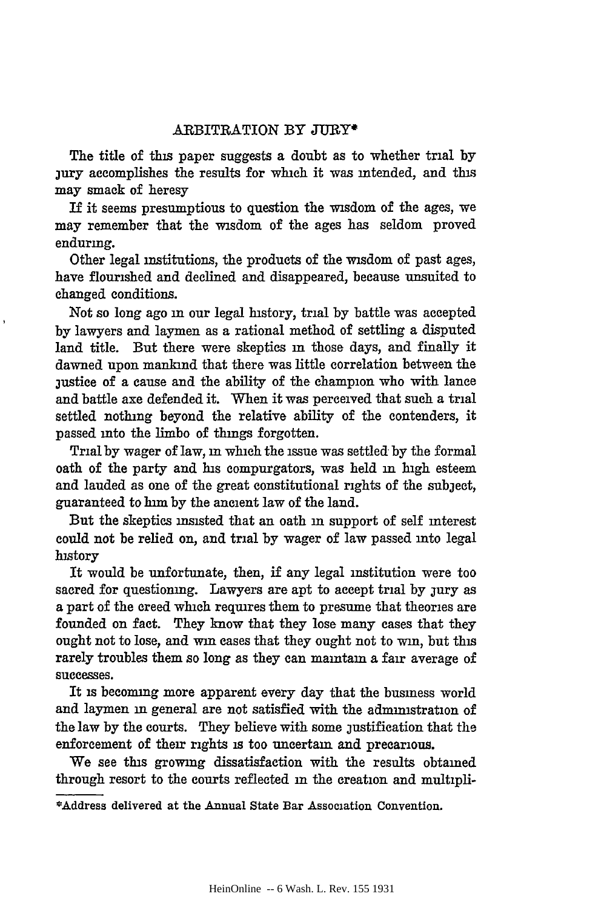## ARBITRATION BY **JURY\***

The title of this paper suggests a doubt as to whether trial **by** jury accomplishes the results for winch it was intended, and this may smack of heresy

If it seems presumptious to question the wisdom of the ages, we may remember that the wisdom of the ages has seldom proved enduring.

Other legal institutions, the products of the wisdom of past ages, have flourished and declined and disappeared, because unsuited to changed conditions.

Not so long ago in our legal history, trial by battle was accepted by lawyers and laymen as a rational method of settling a disputed land title. But there were skeptics **in** those days, and finally it dawned upon mankind that there was little correlation between the justice of a cause and the ability of the champion who with lance and battle axe defended it. When it was perceived that such a trial settled nothing beyond the relative ability of the contenders, it passed into the limbo of things forgotten.

Trial by wager of law, **in** which the issue was settled by the formal oath of the party and his compurgators, was held **in** high esteem and lauded as one of the great constitutional rights of the subject, guaranteed to him by the ancient law of the land.

But the skeptics insisted that an oath **in** support of self interest could not be relied on, and trial by wager of law passed into legal history

It would be unfortunate, then, if any legal institution were too sacred for questioning. Lawyers are apt to accept trial by jury as a part of the creed winch requires them to presume that theories are founded on fact. They know that they lose many cases that they ought not to lose, and win cases that they ought not to win, but this rarely troubles them so long as they can maintain a fair average of successes.

It is becoming more apparent every day that the business world and laymen **in** general are not satisfied with the administration of the law by the courts. They believe with some justification that the enforcement of their rights is too uncertain and precarious.

We see this growing dissatisfaction with the results obtained through resort to the courts reflected **in** the creation and multipli-

<sup>\*</sup>Address delivered at the Annual State Bar Association Convention.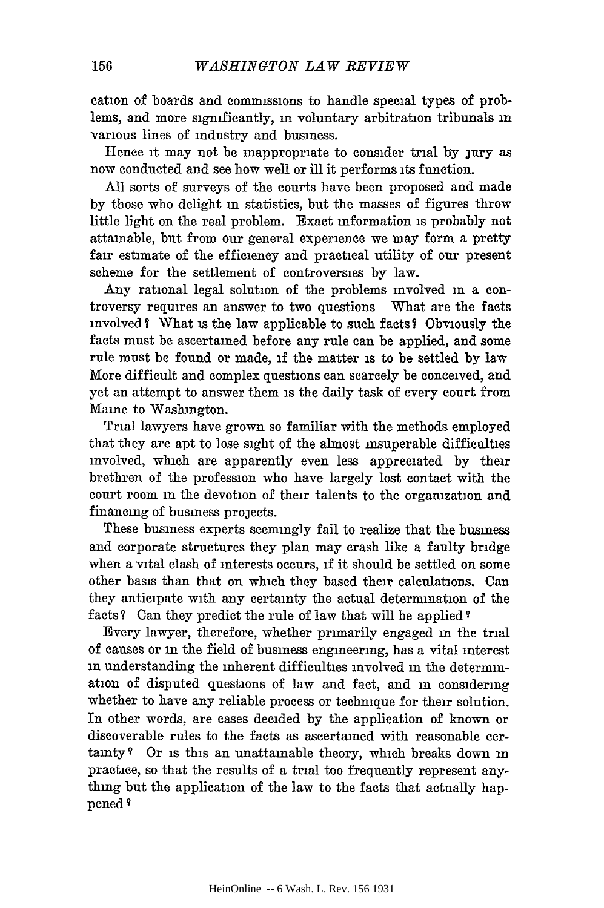cation of boards and commissions to handle special types of problems, and more significantly, in voluntary arbitration tribunals in various lines of industry and business.

Hence it may not be inappropriate to consider trial by jury as now conducted and see how well or ill it performs its function.

All sorts of surveys of the courts have been proposed and made by those who delight in statistics, but the masses of figures throw little light on the real problem. Exact information is probably not attainable, but from our general experience we may form a pretty fair estimate of the efficiency and practical utility of our present scheme for the settlement of controversies by law.

Any rational legal solution of the problems involved in a controversy requires an answer to two questions What are the facts involved? What is the law applicable to such facts? Obviously the facts must be ascertained before any rule can be applied, and some rule must be found or made, **if** the matter is to be settled by law More difficult and complex questions can scarcely be conceived, and yet an attempt to answer them is the daily task of every court from Maine to Washington.

Trial lawyers have grown so familiar with the methods employed that they are apt to lose sight of the almost insuperable difficulties involved, which are apparently even less appreciated by their brethren of the profession who have largely lost contact with the court room in the devotion of their talents to the organization and financing of business projects.

These business experts seemingly fail to realize that the business and corporate structures they plan may crash like a faulty bridge when a vital clash of interests occurs, **if** it should be settled on some other basis than that on which they based their calculations. Can they anticipate with any certainty the actual determination of the facts? Can they predict the rule of law that will be applied ?

Every lawyer, therefore, whether primarily engaged in the trial of causes or in the field of business engineering, has a vital interest in understanding the inherent difficulties involved in the determmation of disputed questions of law and fact, and in considering whether to have any reliable process or technique for their solution. In other words, are cases decided by the application of known or discoverable rules to the facts as ascertained with reasonable certainty **9** Or is this an unattainable theory, which breaks down in practice, so that the results of a trial too frequently represent anything but the application of the law to the facts that actually happened'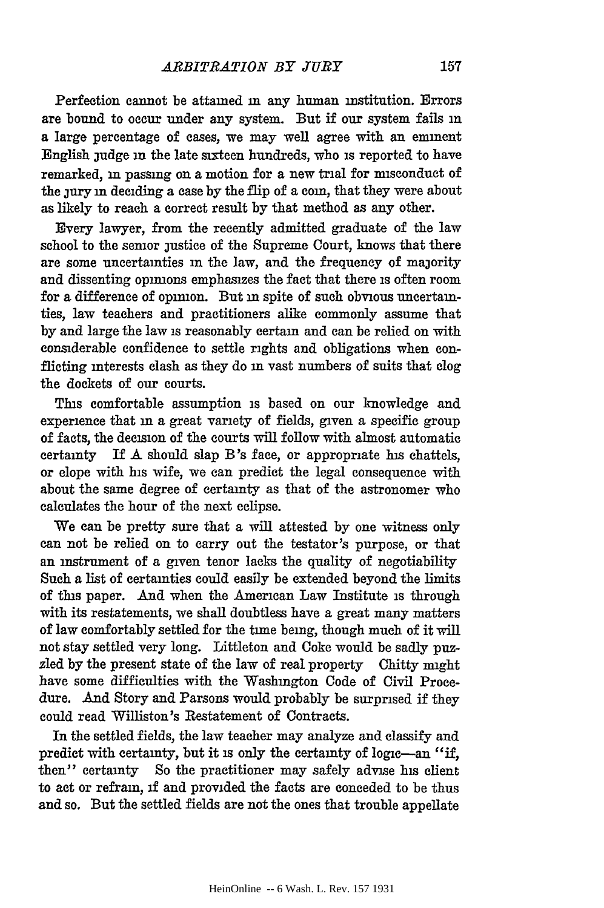Perfection cannot be attained **in** any human institution. Errors are bound to occur under any system. But if our system fails **in** a large percentage of cases, we may well agree with an eminent English judge **in** the late sixteen hundreds, who is reported to have remarked, in passing on a motion for a new trial for misconduct of the jury in deciding a case by the flip of a coin, that they were about as likely to reach a correct result **by** that method as any other.

Every lawyer, from the recently admitted graduate of the law school to the senior justice of the Supreme Court, knows that there are some uncertainties **in** the law, and the frequency of majority and dissenting opinions emphasizes the fact that there is often room for a difference of opimon. But in spite of such obvious uncertainties, law teachers and practitioners alike commonly assume that **by** and large the law is reasonably certain and can be relied on with considerable confidence to settle rights and obligations when conflicting interests clash as they do **in** vast numbers of suits that clog the dockets of our courts.

This comfortable assumption is based on our knowledge and experience that **in** a great variety of fields, given a specific group of facts, the decision of the courts will follow with almost automatic certainty If **A** should slap B's face, or appropriate his chattels, or elope with his wife, we can predict the legal consequence with about the same degree of certainty as that of the astronomer who calculates the hour of the next eclipse.

We can be pretty sure that a will attested **by** one witness only can not be relied on to carry out the testator's purpose, or that an instrument of a given tenor lacks the quality of negotiability Such a list of certainties could easily be extended beyond the limits of this paper. And when the American Law Institute is through with its restatements, we shall doubtless have a great many matters of law comfortably settled for the time being, though much of it will not stay settled very long. Littleton and Coke would be sadly puzzled **by** the present state of the law of real property Chitty might have some difficulties with the Washington Code of Civil Procedure. And Story and Parsons would probably be surprised if they could read Williston's Restatement of Contracts.

In the settled fields, the law teacher may analyze and classify and predict with certainty, but it is only the certainty of logic-an "if, then" certainty So the practitioner may safely advise his client to act or refrain, if and provided the facts are conceded to be thus and so. But the settled fields are not the ones that trouble appellate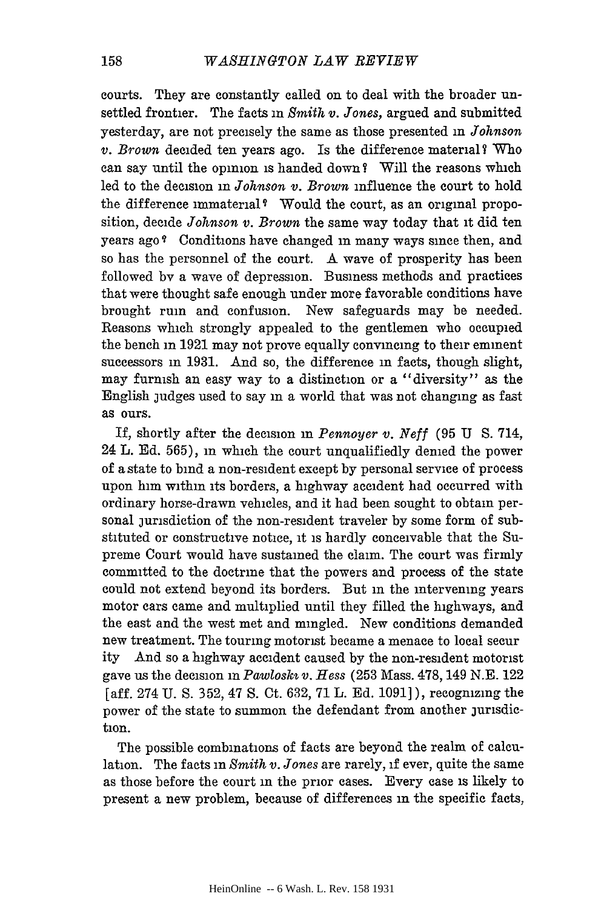courts. They are constantly called on to deal with the broader unsettled frontier. The facts in *Smith v. Jones,* argued and submitted yesterday, are not precisely the same as those presented in *Johnson v. Brown* decided ten years ago. Is the difference material? Who can say until the opinion is handed down? Will the reasons which led to the decision in *Johnson v. Brown* influence the court to hold the difference immaterial<sup>?</sup> Would the court, as an original proposition, decide *Johnson v. Brown* the same way today that it did ten years ago<sup>?</sup> Conditions have changed in many ways since then, and so has the personnel of the court. A wave of prosperity has been followed by a wave of depression. Business methods and practices that were thought safe enough under more favorable conditions have brought ruin and confusion. New safeguards may be needed. Reasons which strongly appealed to the gentlemen who occupied the bench in **1921** may not prove equally convincing to their eminent successors in 1931. And so, the difference in facts, though slight, may furnish an easy way to a distinction or a "diversity" as the English judges used to say in a world that was not changing as fast as ours.

If, shortly after the decision in *Pennoyer v. Neff* (95 U S. 714, 24 L. Ed. 565), in which the court unqualifiedly denied the power of a state to bind a non-resident except by personal service of process upon him within its borders, a highway accident had occurred with ordinary horse-drawn vehicles, and it had been sought to obtain personal jurisdiction of the non-resident traveler by some form of substituted or constructive notice, it is hardly conceivable that the Supreme Court would have sustained the claim. The court was firmly committed to the doctrine that the powers and process of the state could not extend beyond its borders. But in the intervening years motor cars came and multiplied until they filled the highways, and the east and the west met and mingled. New conditions demanded new treatment. The touring motorist became a menace to local secur ity And so a highway accident caused by the non-resident motorist gave us the decision in *Pawlosks v. Hess* (253 Mass. 478, 149 N.E. 122 [aff. 274 U. S. 352, 47 S. Ct. 632, 71 L. Ed. 1091] ), recognizing the power of the state to summon the defendant from another jurisdiction.

The possible combinations of facts are beyond the realm of calculation. The facts in *Smith v. Jones* are rarely, if ever, quite the same as those before the court in the prior cases. Every case is likely to present a new problem, because of differences m the specific facts,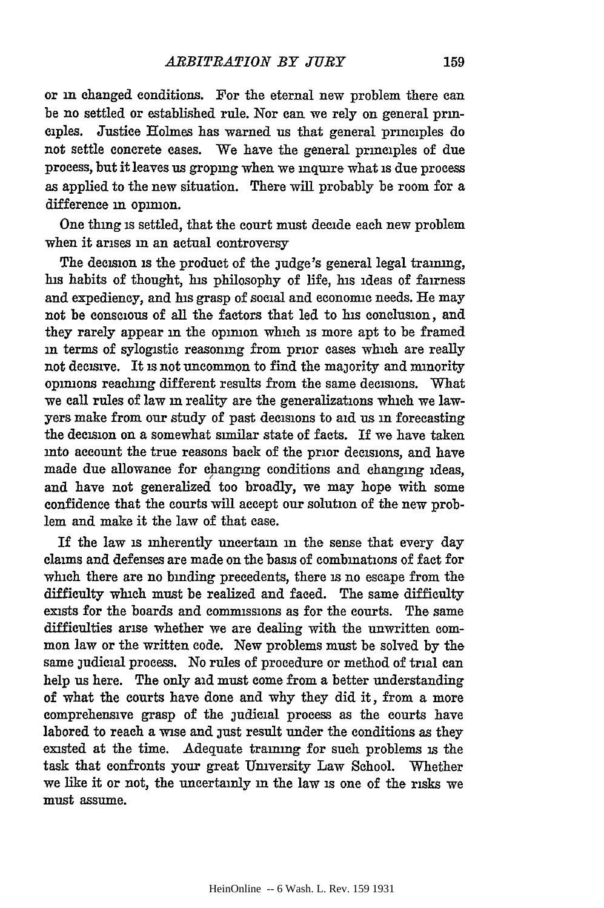or **in** changed conditions. For the eternal new problem there can be no settled or established rule. Nor can we rely on general principles. Justice Holmes has warned us that general principles do not settle concrete cases. We have the general principles of due process, but it leaves us groping when we inquire what is due process as applied to the new situation. There will probably be room for a difference in opinion.

One thing is settled, that the court must decide each new problem when it arises **in** an actual controversy

The decision is the product of the judge's general legal training, his habits of thought, his philosophy of life, his ideas of fairness and expediency, and his grasp of social and economic needs. He may not be conscious of all the factors that led to his conclusion, and they rarely appear **in** the opinion which is more apt to be framed **in** terms of sylogistie reasoning from prior cases which are really not decisive. It is not uncommon to find the majority and minority opinions reaching different results from the same decisions. What we call rules of law **in** reality are the generalizations which we lawyers make from our study of past decisions to aid us in forecasting the decision on a somewhat similar state of facts. If we have taken into account the true reasons back of the prior decisions, and have made due allowance for changing conditions and changing ideas, and have not generalized too broadly, we may hope with some confidence that the courts will accept our solution of the new problem and make it the law of that ease.

If the law is inherently uncertain **in** the sense that every day claims and defenses are made on the basis of combinations of fact for which there are no binding precedents, there **is** no escape from the difficulty which must be realized and faced. The same difficulty exists for the boards and commissions as for the courts. The same difficulties arise whether we are dealing with the unwritten common law or the written code. New problems must be solved by the same judicial process. No rules of procedure or method of trial can help us here. The only aid must come from a better understanding of what the courts have done and why they did it, from a more comprehensive grasp of the judicial process as the courts have labored to reach a wise and just result under the conditions as they existed at the time. Adequate training for such problems is the task that confronts your great University Law School. Whether we like it or not, the uncertainly in the law is one of the risks we must assume.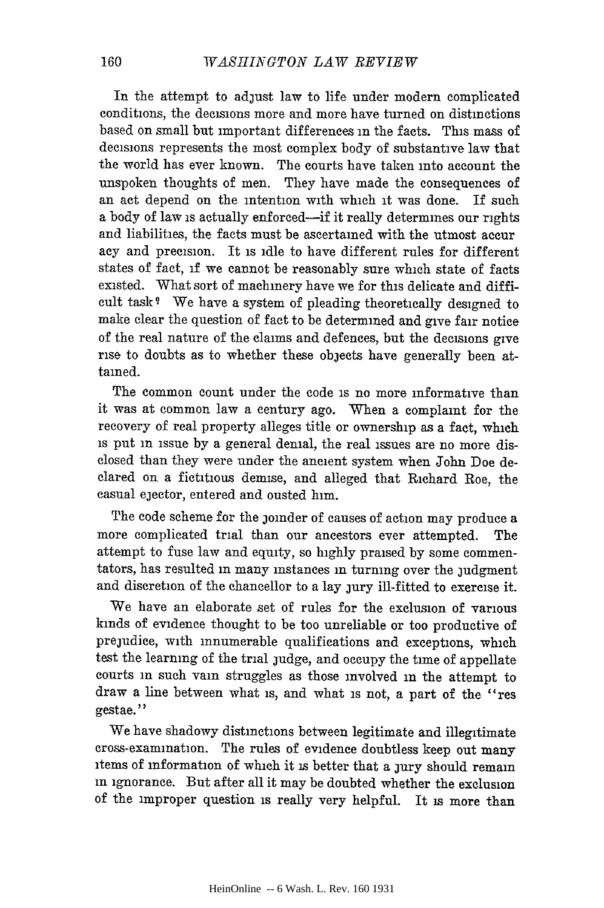In the attempt to adjust law to life under modern complicated conditions, the decisions more and more have turned on distinctions based on small but important differences in the facts. This mass of decisions represents the most complex body of substantive law that the world has ever known. The courts have taken into account the unspoken thoughts of men. They have made the consequences of an act depend on the intention with which it was done. If such a body of law is actually enforced—if it really determines our rights and liabilities, the facts must be ascertained with the utmost accur acy and precision. It is idle to have different rules for different states of fact, if we cannot be reasonably sure which state of facts existed. What sort of machinery have we for this delicate and difficult task **9** We have a system of pleading theoretically designed to make clear the question of fact to be determined and give fair notice of the real nature of the claims and defences, but the decisions give rise to doubts as to whether these objects have generally been attained.

The common count under the code is no more informative than it was at common law a century ago. When a complaint for the recovery of real property alleges title or ownership as a fact, which is put in issue by a general denial, the real issues are no more disclosed than they were under the ancient system when John Doe declared on a fictitious demise, and alleged that Richard Roe, the casual ejector, entered and ousted him.

The code scheme for the joinder of causes of action may produce a more complicated trial than our ancestors ever attempted. The attempt to fuse law and equity, so highly praised by some commentators, has resulted in many instances in turning over the judgment and discretion of the chancellor to a lay jury ill-fitted to exercise it.

We have an elaborate set of rules for the exclusion of various kinds of evidence thought to be too unreliable or too productive of prejudice, with innumerable qualifications and exceptions, which test the learning of the trial judge, and occupy the time of appellate courts in such vain struggles as those involved in the attempt to draw a line between what is, and what is not, a part of the "res gestae. **"**

We have shadowy distinctions between legitimate and illegitimate cross-examination. The rules of evidence doubtless keep out many items of information of which it is better that a jury should remain in ignorance. But after all it may be doubted whether the exclusion of the improper question is really very helpful. It is more than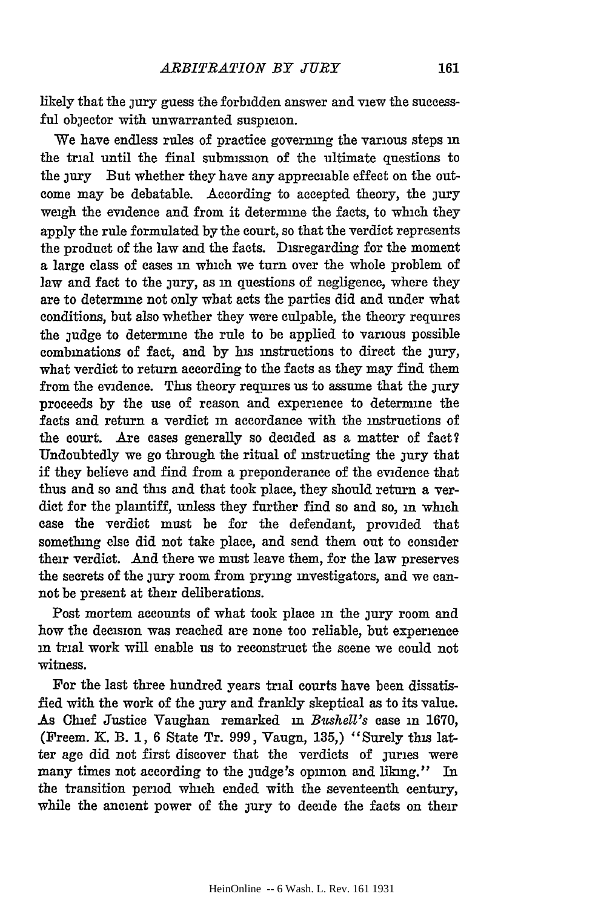likely that the jury guess the forbidden answer and view the successful objector with unwarranted suspicion.

We have endless rules of practice governing the various steps in the trial until the final submission of the ultimate questions to the jury But whether they have any appreciable effect on the outcome may be debatable. According to accepted theory, the jury weigh the evidence and from it determine the facts, to which they apply the rule formulated by the court, so that the verdict represents the product of the law and the facts. Disregarding for the moment a large class of cases in which we turn over the whole problem of law and fact to the jury, as in questions of negligence, where they are to determine not only what acts the parties did and under what conditions, but also whether they were culpable, the theory requires the judge to determine the rule to be applied to various possible combinations of fact, and by hs instructions to direct the jury, what verdict to return according to the facts as they may find them from the evidence. This theory requires us to assume that the jury proceeds by the use of reason and experience to determine the facts and return a verdict in accordance with the instructions of the court. Are cases generally so decided as a matter of fact? Undoubtedly we go through the ritual of instructing the jury that if they believe and find from a preponderance of the evidence that thus and so and this and that took place, they should return a verdict for the plaintiff, unless they further find so and so, in which case the verdict must be for the defendant, provided that something else did not take place, and send them out to consider their verdict. And there we must leave them, for the law preserves the secrets of the jury room from prying investigators, and we cannot be present at their deliberations.

Post mortem accounts of what took place **in** the jury room and how the decision was reached are none too reliable, but experience **in** trial work will enable us to reconstruct the scene we could not witness.

For the last three hundred years trial courts have been dissatisfied with the work of the jury and frankly skeptical as to its value. As Chief Justice Vaughan remarked **in** *Bwshell's* case in 1670, (Freem. K. B. 1, 6 State Tr. 999, Vaugn, 135,) "Surely this latter age did not first discover that the verdicts of juries were many times not according to the judge's opinion and liking." In the transition period which ended with the seventeenth century, while the ancient power of the jury to decide the facts on their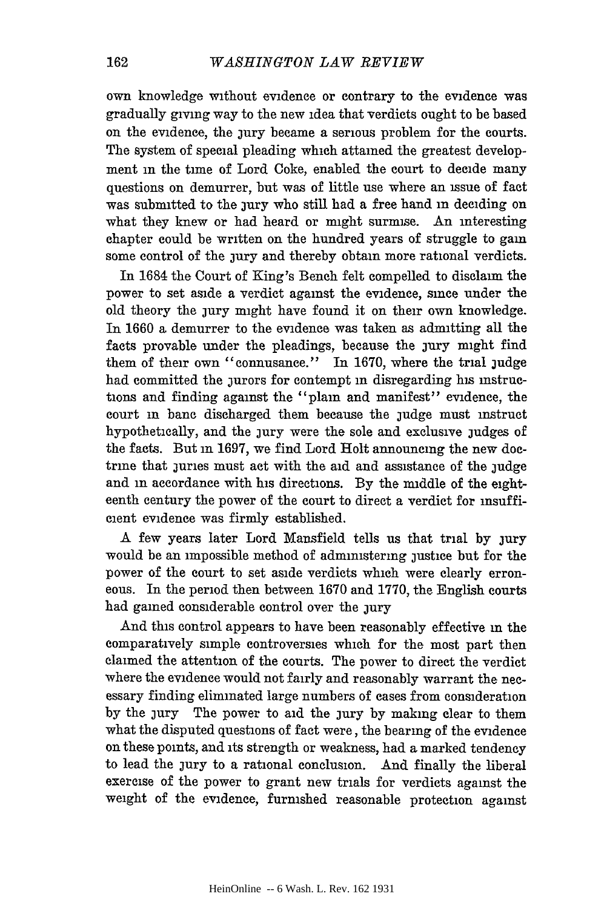own knowledge without evidence or contrary to the evidence was gradually giving way to the new idea that verdicts ought to be based on the evidence, the jury became a serious problem for the courts. The system of special pleading which attained the greatest development in the time of Lord Coke, enabled the court to decide many questions on demurrer, but was of little use where an issue of fact was submitted to the jury who still had a free hand in deciding on what they knew or had heard or might surmise. An interesting chapter could be written on the hundred years of struggle to gain some control of the jury and thereby obtain more rational verdicts.

In 1684 the Court of King's Bench felt compelled to disclaim the power to set aside a verdict against the evidence, since under the old theory the jury might have found it on their own knowledge. In 1660 a demurrer to the evidence was taken as admitting all the facts provable under the pleadings, because the jury might find them of their own "connusance." In 1670, where the trial judge had committed the jurors for contempt in disregarding his instructions and finding against the "plain and manifest" evidence, the court in bane discharged them because the judge must instruct hypothetically, and the jury were the sole and exclusive judges of the facts. But in 1697, we find Lord Holt announcing the new doctrine that juries must act with the aid and assistance of the judge and in accordance with his directions. By the middle of the eighteenth century the power of the court to direct a verdict for insufficient evidence was firmly established.

A few years later Lord Mansfield tells us that trial by jury would be an impossible method of administering justice but for the power of the court to set aside verdicts which were clearly erroneous. In the period then between 1670 and 1770, the English courts had gained considerable control over the jury

And this control appears to have been reasonably effective in the comparatively simple controversies which for the most part then claimed the attention of the courts. The power to direct the verdict where the evidence would not fairly and reasonably warrant the necessary finding eliminated large numbers of cases from consideration by the jury The power to aid the jury by making clear to them what the disputed questions of fact were, the bearing of the evidence on these points, and its strength or weakness, had a marked tendency to lead the jury to a rational conclusion. And finally the liberal exercise of the power to grant new trials for verdicts against the weight of the evidence, furnished reasonable protection against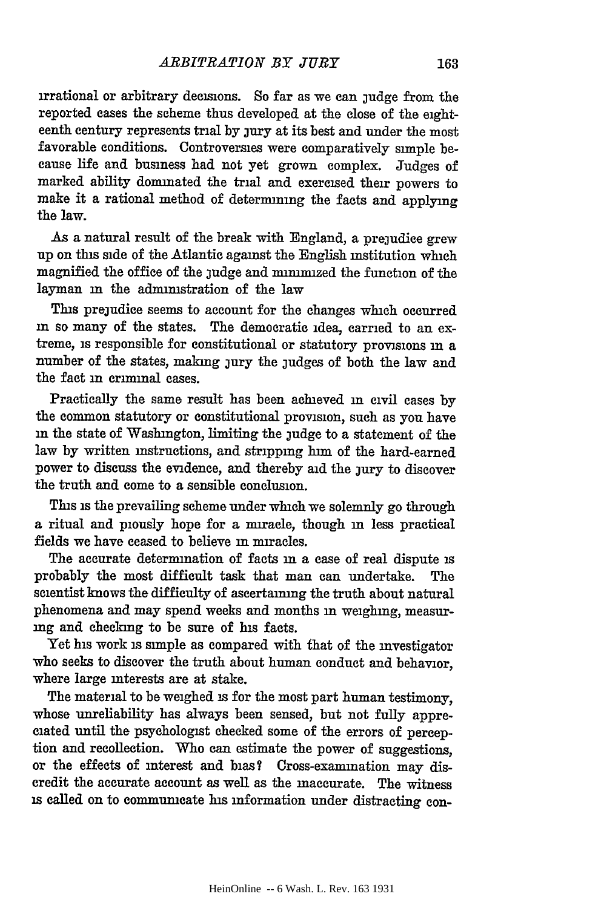irrational or arbitrary decisions. So far as we can judge from the reported cases the scheme thus developed at the close of the eighteenth century represents trial by jury at its best and under the most favorable conditions. Controversies were comparatively simple because life and business had not yet grown complex. Judges of marked ability dominated the trial and exercised their powers to make it a rational method of determining the facts and applying the law.

As a natural result of the break with England, a prejudice grew up on this side of the Atlantic against the English institution which magnified the office of the judge and minimized the function of the layman in the administration of the law

This prejudice seems to account for the changes which occurred in so many of the states. The democratic idea, carried to an extreme, is responsible for constitutional or statutory provisions **in** a number of the states, making jury the judges of both the law and the fact **in** criminal cases.

Practically the same result has been achieved **in** civil cases by the common statutory or constitutional provision, such as you have **in** the state of Washington, limiting the judge to a statement of the law by written instructions, and stripping him of the hard-earned power to discuss the evidence, and thereby aid the jury to discover the truth and come to a sensible conclusion.

This is the prevailing scheme under which we solemnly go through a ritual and piously hope for a niracle, though **in** less practical fields we have ceased to believe in niracles.

The accurate determination of facts **in** a case of real dispute is probably the most difficult task that man can undertake. The scientist knows the difficulty of ascertaining the truth about natural phenomena and may spend weeks and months in weighing, measuring and checking to be sure of his facts.

Yet his work is simple as compared with that of the investigator who seeks to discover the truth about human conduct and behavior, where large interests are at stake.

The material to be weighed **is** for the most part human testimony, whose unreliability has always been sensed, but not fully appreciated until the psychologist checked some of the errors of perception and recollection. Who can estimate the power of suggestions, or the effects of interest and bias **7** Cross-examination may discredit the accurate account as well as the inaccurate. The witness **is** called on to communicate his information under distracting con-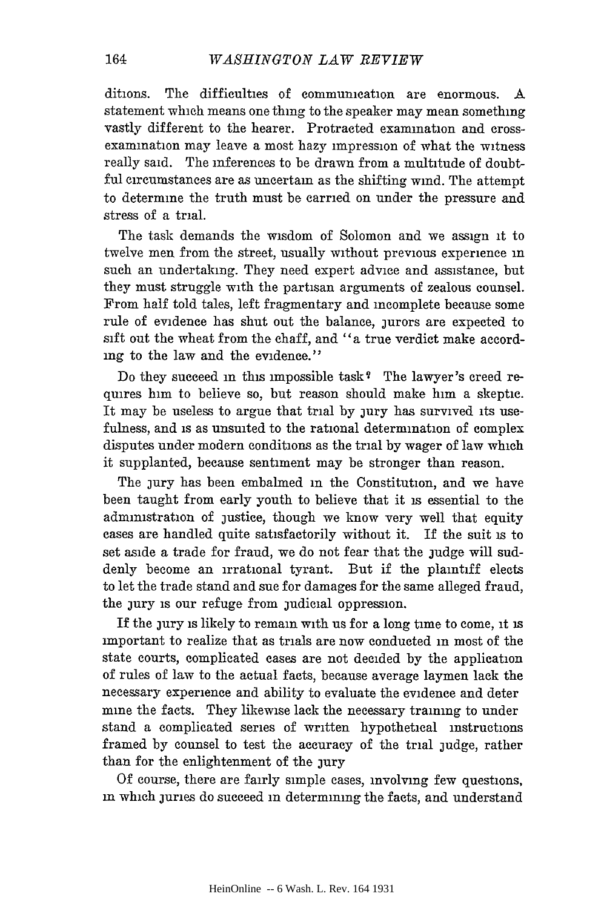ditioms. The difficulties of communication are enormous. A statement which means one thing to the speaker may mean something vastly different to the hearer. Protracted examination and crossexamination may leave a most hazy impression of what the witness really said. The inferences to be drawn from a multitude of doubtful circumstances are as uncertain as the shifting wind. The attempt to determine the truth must be carried on under the pressure and stress of a trial.

The task demands the wisdom of Solomon and we assign it to twelve men from the street, usually without previous experience in such an undertaking. They need expert advice and assistance, but they must struggle with the partisan arguments of zealous counsel. From half told tales, left fragmentary and incomplete because some rule of evidence has shut out the balance, jurors are expected to sift out the wheat from the chaff, and "a true verdict make according to the law and the evidence."

Do they succeed in this impossible task? The lawyer's creed requires him to believe so, but reason should make him a skeptic. It may be useless to argue that trial by jury has survived its usefulness, and is as unsuited to the rational determination of complex disputes under modern conditions as the trial by wager of law which it supplanted, because sentiment may be stronger than reason.

The jury has been embalmed in the Constitution, and we have been taught from early youth to believe that it is essential to the administration of justice, though we know very well that equity cases are handled quite satisfactorily without it. If the suit is to set aside a trade for fraud, we do not fear that the judge will suddenly become an irrational tyrant. But if the plaintiff elects to let the trade stand and sue for damages for the same alleged fraud, the jury is our refuge from judicial oppression.

If the jury is likely to remain with us for a long time to come, it is important to realize that as trials are now conducted in most of the state courts, complicated cases are not decided by the application of rules of law to the actual facts, because average laymen lack the necessary experience and ability to evaluate the evidence and deter mine the facts. They likewise lack the necessary training to under stand a complicated series of written hypothetical instructions framed by counsel to test the accuracy of the trial judge, rather than for the enlightenment of the jury

Of course, there are fairly simple cases, involving few questions, in which juries do succeed in determining the facts, and understand